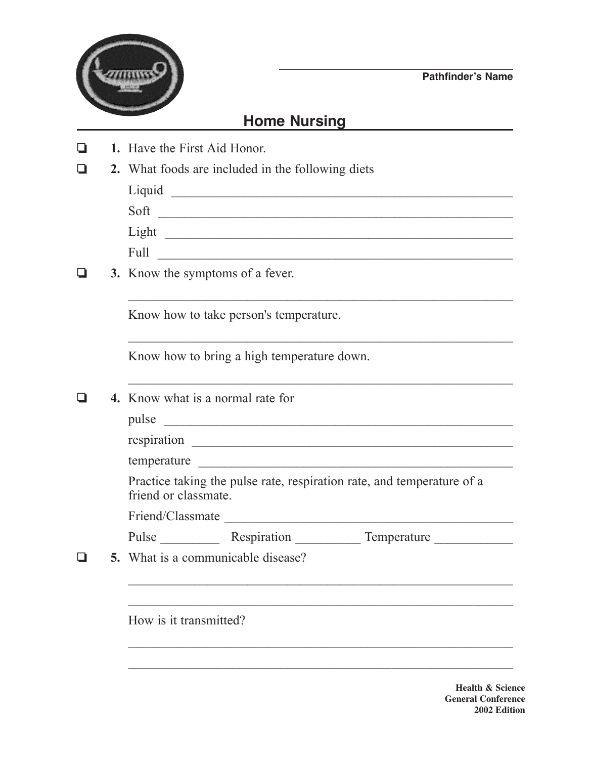

## **Home Nursing**

❏ **1.** Have the First Aid Honor.

| 2. What foods are included in the following diets | $\Box$ |  |  |  |  |  |  |  |
|---------------------------------------------------|--------|--|--|--|--|--|--|--|
|---------------------------------------------------|--------|--|--|--|--|--|--|--|

| Liquid |  |
|--------|--|
| Soft   |  |
| Light  |  |
| Full   |  |

 $\mathcal{L}_\text{max}$  , and the contract of the contract of the contract of the contract of the contract of the contract of the contract of the contract of the contract of the contract of the contract of the contract of the contr

❏ **3.** Know the symptoms of a fever.

Know how to take person's temperature.

Know how to bring a high temperature down.

❏ **4.** Know what is a normal rate for

pulse

respiration \_\_\_\_\_\_\_\_\_\_\_\_\_\_\_\_\_\_\_\_\_\_\_\_\_\_\_\_\_\_\_\_\_\_\_\_\_\_\_\_\_\_\_\_\_\_\_\_\_

temperature

Practice taking the pulse rate, respiration rate, and temperature of a friend or classmate.

Friend/Classmate \_\_\_\_\_\_\_\_\_\_\_\_\_\_\_\_\_\_\_\_\_\_\_\_\_\_\_\_\_\_\_\_\_\_\_\_\_\_\_\_\_\_\_\_

| Pulse | Respiration | Temperature |
|-------|-------------|-------------|
|       |             |             |
|       |             |             |

 $\mathcal{L}_\text{max}$  and  $\mathcal{L}_\text{max}$  and  $\mathcal{L}_\text{max}$  and  $\mathcal{L}_\text{max}$  and  $\mathcal{L}_\text{max}$  and  $\mathcal{L}_\text{max}$ 

 $\mathcal{L}_\text{max}$  , and the contract of the contract of the contract of the contract of the contract of the contract of the contract of the contract of the contract of the contract of the contract of the contract of the contr

\_\_\_\_\_\_\_\_\_\_\_\_\_\_\_\_\_\_\_\_\_\_\_\_\_\_\_\_\_\_\_\_\_\_\_\_\_\_\_\_\_\_\_\_\_\_\_\_\_\_\_\_\_\_\_\_\_\_

❏ **5.** What is a communicable disease?

How is it transmitted?

**Health & Science General Conference 2002 Edition**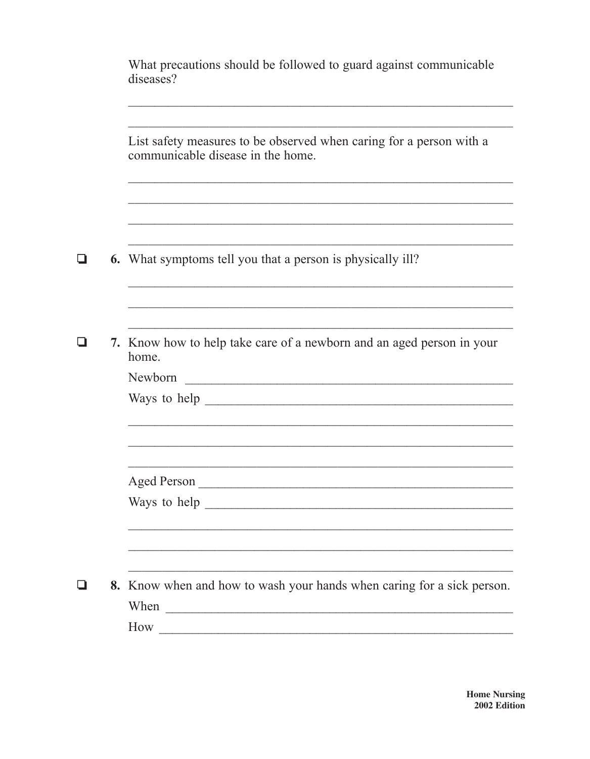| List safety measures to be observed when caring for a person with a<br>communicable disease in the home.                                                                                                                       |  |
|--------------------------------------------------------------------------------------------------------------------------------------------------------------------------------------------------------------------------------|--|
|                                                                                                                                                                                                                                |  |
| <b>6.</b> What symptoms tell you that a person is physically ill?                                                                                                                                                              |  |
|                                                                                                                                                                                                                                |  |
| 7. Know how to help take care of a newborn and an aged person in your<br>home.                                                                                                                                                 |  |
| Newborn                                                                                                                                                                                                                        |  |
| Ways to help express to help and the same state of the state of the state of the state of the state of the state of the state of the state of the state of the state of the state of the state of the state of the state of th |  |
|                                                                                                                                                                                                                                |  |
|                                                                                                                                                                                                                                |  |
|                                                                                                                                                                                                                                |  |
|                                                                                                                                                                                                                                |  |
| 8. Know when and how to wash your hands when caring for a sick person.<br>When                                                                                                                                                 |  |
|                                                                                                                                                                                                                                |  |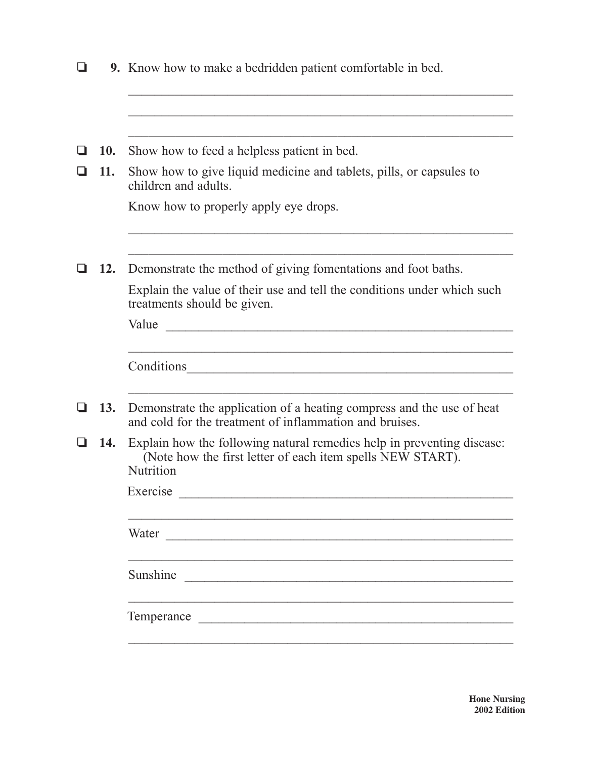|     | <b>9.</b> Know how to make a bedridden patient comfortable in bed.                                                                                |  |  |  |  |  |
|-----|---------------------------------------------------------------------------------------------------------------------------------------------------|--|--|--|--|--|
|     |                                                                                                                                                   |  |  |  |  |  |
| 10. | Show how to feed a helpless patient in bed.                                                                                                       |  |  |  |  |  |
| 11. | Show how to give liquid medicine and tablets, pills, or capsules to<br>children and adults.                                                       |  |  |  |  |  |
|     | Know how to properly apply eye drops.                                                                                                             |  |  |  |  |  |
| 12. | Demonstrate the method of giving fomentations and foot baths.                                                                                     |  |  |  |  |  |
|     | Explain the value of their use and tell the conditions under which such<br>treatments should be given.                                            |  |  |  |  |  |
|     | Value                                                                                                                                             |  |  |  |  |  |
|     | Conditions<br><u> 1980 - John Stein, amerikansk politiker (</u>                                                                                   |  |  |  |  |  |
| 13. | Demonstrate the application of a heating compress and the use of heat<br>and cold for the treatment of inflammation and bruises.                  |  |  |  |  |  |
| 14. | Explain how the following natural remedies help in preventing disease:<br>(Note how the first letter of each item spells NEW START).<br>Nutrition |  |  |  |  |  |
|     | Exercise <u>exercise</u>                                                                                                                          |  |  |  |  |  |
|     | Water                                                                                                                                             |  |  |  |  |  |
|     | Sunshine                                                                                                                                          |  |  |  |  |  |
|     | Temperance                                                                                                                                        |  |  |  |  |  |
|     |                                                                                                                                                   |  |  |  |  |  |

**Hone Nursing 2002 Edition**